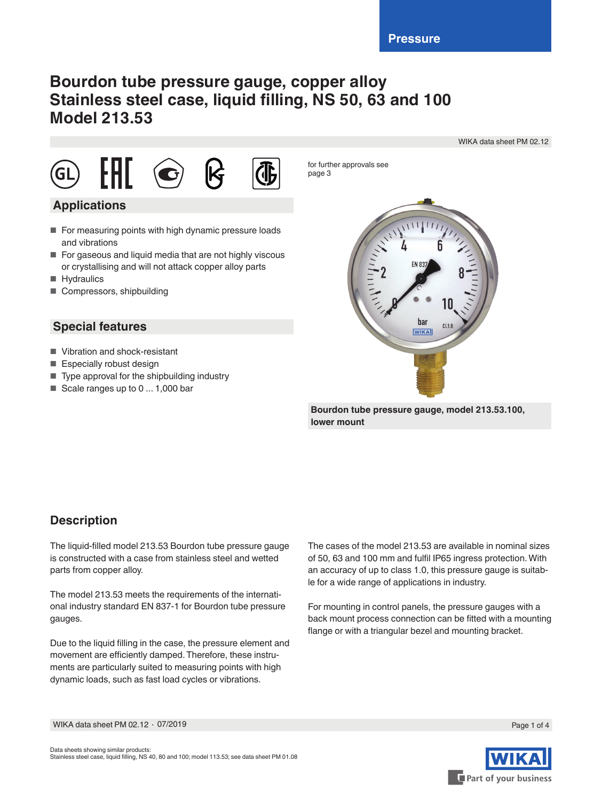# **Bourdon tube pressure gauge, copper alloy Stainless steel case, liquid filling, NS 50, 63 and 100 Model 213.53**

WIKA data sheet PM 02.12









for further approvals see page 3

## **Applications**

- For measuring points with high dynamic pressure loads and vibrations
- For gaseous and liquid media that are not highly viscous or crystallising and will not attack copper alloy parts
- Hydraulics
- Compressors, shipbuilding

## **Special features**

- Vibration and shock-resistant
- Especially robust design
- Type approval for the shipbuilding industry
- Scale ranges up to 0 ... 1,000 bar



**Bourdon tube pressure gauge, model 213.53.100, lower mount**

## **Description**

The liquid-filled model 213.53 Bourdon tube pressure gauge is constructed with a case from stainless steel and wetted parts from copper alloy.

The model 213.53 meets the requirements of the international industry standard EN 837-1 for Bourdon tube pressure gauges.

Due to the liquid filling in the case, the pressure element and movement are efficiently damped. Therefore, these instruments are particularly suited to measuring points with high dynamic loads, such as fast load cycles or vibrations.

The cases of the model 213.53 are available in nominal sizes of 50, 63 and 100 mm and fulfil IP65 ingress protection. With an accuracy of up to class 1.0, this pressure gauge is suitable for a wide range of applications in industry.

For mounting in control panels, the pressure gauges with a back mount process connection can be fitted with a mounting flange or with a triangular bezel and mounting bracket.





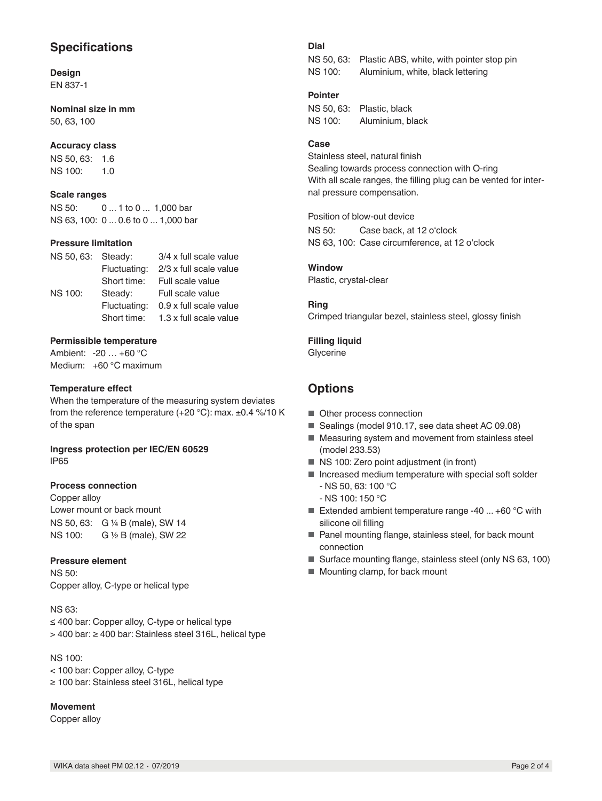## **Specifications**

#### **Design** EN 837-1

**Nominal size in mm** 50, 63, 100

### **Accuracy class**

NS 50, 63: 1.6 NS 100: 1.0

### **Scale ranges**

NS 50: 0 ... 1 to 0 ... 1,000 bar NS 63, 100: 0 ... 0.6 to 0 ... 1,000 bar

### **Pressure limitation**

| NS 50, 63: Steady: |              | 3/4 x full scale value |  |  |  |  |
|--------------------|--------------|------------------------|--|--|--|--|
|                    | Fluctuating: | 2/3 x full scale value |  |  |  |  |
|                    | Short time:  | Full scale value       |  |  |  |  |
| <b>NS 100:</b>     | Steady:      | Full scale value       |  |  |  |  |
|                    | Fluctuating: | 0.9 x full scale value |  |  |  |  |
|                    | Short time:  | 1.3 x full scale value |  |  |  |  |

### **Permissible temperature**

Ambient: -20 … +60 °C Medium: +60 °C maximum

### **Temperature effect**

When the temperature of the measuring system deviates from the reference temperature (+20 °C): max. ±0.4 %/10 K of the span

### **Ingress protection per IEC/EN 60529** IP65

### **Process connection**

Copper alloy Lower mount or back mount NS 50, 63: G ¼ B (male), SW 14<br>NS 100: G ½ B (male), SW 22 G 1/2 B (male), SW 22

### **Pressure element**

NS 50: Copper alloy, C-type or helical type

### NS 63:

≤ 400 bar: Copper alloy, C-type or helical type > 400 bar: ≥ 400 bar: Stainless steel 316L, helical type

NS 100:

< 100 bar: Copper alloy, C-type

≥ 100 bar: Stainless steel 316L, helical type

## **Movement**

Copper alloy

## **Dial**

NS 50, 63: Plastic ABS, white, with pointer stop pin NS 100: Aluminium, white, black lettering

## **Pointer**

NS 50, 63: Plastic, black NS 100: Aluminium, black

### **Case**

Stainless steel, natural finish Sealing towards process connection with O-ring With all scale ranges, the filling plug can be vented for internal pressure compensation.

Position of blow-out device

NS 50: Case back, at 12 o'clock NS 63, 100: Case circumference, at 12 o'clock

## **Window**

Plastic, crystal-clear

### **Ring**

Crimped triangular bezel, stainless steel, glossy finish

### **Filling liquid**

Glycerine

## **Options**

- Other process connection
- Sealings (model 910.17, see data sheet AC 09.08)
- Measuring system and movement from stainless steel (model 233.53)
- NS 100: Zero point adjustment (in front)
- Increased medium temperature with special soft solder
	- NS 50, 63: 100 °C
	- NS 100: 150 °C
- Extended ambient temperature range -40 ... +60 °C with silicone oil filling
- Panel mounting flange, stainless steel, for back mount connection
- Surface mounting flange, stainless steel (only NS 63, 100)
- Mounting clamp, for back mount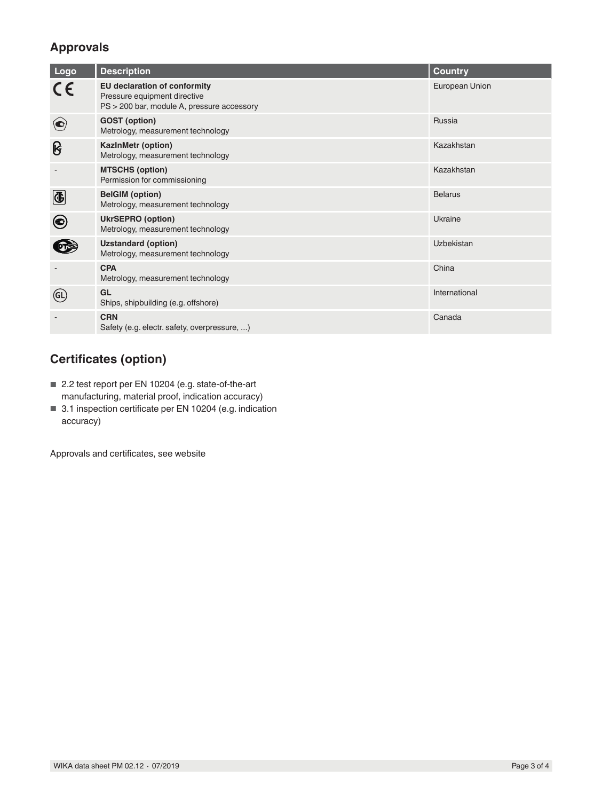## **Approvals**

| Logo        | <b>Description</b>                                                                                         | <b>Country</b> |
|-------------|------------------------------------------------------------------------------------------------------------|----------------|
|             | EU declaration of conformity<br>Pressure equipment directive<br>PS > 200 bar, module A, pressure accessory | European Union |
| $(\bigodot$ | <b>GOST</b> (option)<br>Metrology, measurement technology                                                  | Russia         |
| ၆           | KazInMetr (option)<br>Metrology, measurement technology                                                    | Kazakhstan     |
|             | <b>MTSCHS (option)</b><br>Permission for commissioning                                                     | Kazakhstan     |
| $\bigcirc$  | <b>BelGIM</b> (option)<br>Metrology, measurement technology                                                | <b>Belarus</b> |
| ◉           | <b>UkrSEPRO</b> (option)<br>Metrology, measurement technology                                              | Ukraine        |
|             | <b>Uzstandard (option)</b><br>Metrology, measurement technology                                            | Uzbekistan     |
|             | <b>CPA</b><br>Metrology, measurement technology                                                            | China          |
| (GL         | GL<br>Ships, shipbuilding (e.g. offshore)                                                                  | International  |
|             | <b>CRN</b><br>Safety (e.g. electr. safety, overpressure, )                                                 | Canada         |

## **Certificates (option)**

- 2.2 test report per EN 10204 (e.g. state-of-the-art manufacturing, material proof, indication accuracy)
- 3.1 inspection certificate per EN 10204 (e.g. indication accuracy)

Approvals and certificates, see website